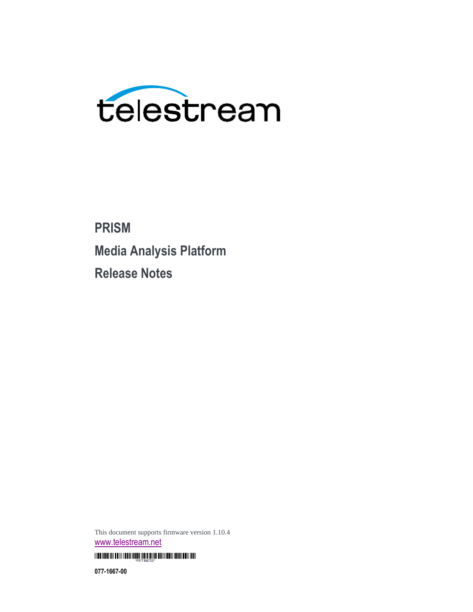

**PRISM Media Analysis Platform Release Notes**

This document supports firmware version 1.10.4 [www.telestream.net](http://www.telestream.net/)

<u> I TELITETI III EDIII IEDII IEDI ILE ILE ILE ILE ON TELIT EDII EDII EDII IEDI</u>

**077-1667-00**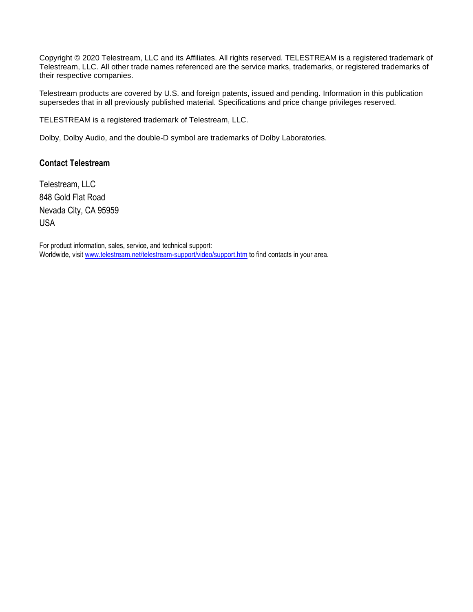Copyright © 2020 Telestream, LLC and its Affiliates. All rights reserved. TELESTREAM is a registered trademark of Telestream, LLC. All other trade names referenced are the service marks, trademarks, or registered trademarks of their respective companies.

Telestream products are covered by U.S. and foreign patents, issued and pending. Information in this publication supersedes that in all previously published material. Specifications and price change privileges reserved.

TELESTREAM is a registered trademark of Telestream, LLC.

Dolby, Dolby Audio, and the double-D symbol are trademarks of Dolby Laboratories.

#### **Contact Telestream**

Telestream, LLC 848 Gold Flat Road Nevada City, CA 95959 USA

For product information, sales, service, and technical support: Worldwide, visit [www.telestream.net/telestream-support/video/support.htm](http://www.telestream.net/telestream-support/video/support.htm) to find contacts in your area.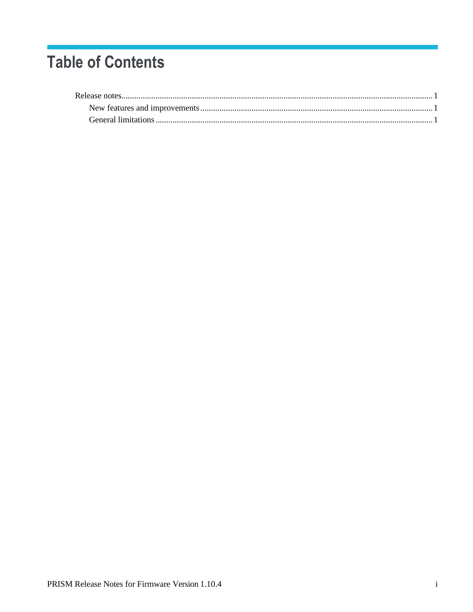# **Table of Contents**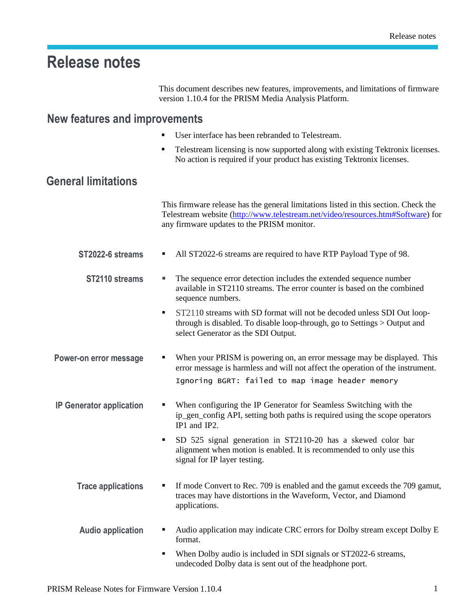## <span id="page-4-0"></span>**Release notes**

This document describes new features, improvements, and limitations of firmware version 1.10.4 for the PRISM Media Analysis Platform.

### <span id="page-4-1"></span>**New features and improvements**

- User interface has been rebranded to Telestream.
- Telestream licensing is now supported along with existing Tektronix licenses. No action is required if your product has existing Tektronix licenses.

### **General limitations**

This firmware release has the general limitations listed in this section. Check the Telestream website [\(http://www.telestream.net/video/resources.htm#Software\)](http://www.telestream.net/video/resources.htm#Software) for any firmware updates to the PRISM monitor.

- **ST2022-6 streams** All ST2022-6 streams are required to have RTP Payload Type of 98.
	- **ST2110** streams **·** The sequence error detection includes the extended sequence number available in ST2110 streams. The error counter is based on the combined sequence numbers.
		- **•** ST2110 streams with SD format will not be decoded unless SDI Out loopthrough is disabled. To disable loop-through, go to Settings > Output and select Generator as the SDI Output.
- **Power-on error message •** When your PRISM is powering on, an error message may be displayed. This error message is harmless and will not affect the operation of the instrument. Ignoring BGRT: failed to map image header memory
- **IP** Generator application When configuring the IP Generator for Seamless Switching with the ip\_gen\_config API, setting both paths is required using the scope operators IP1 and IP2.
	- SD 525 signal generation in ST2110-20 has a skewed color bar alignment when motion is enabled. It is recommended to only use this signal for IP layer testing.
	- **Trace applications ■** If mode Convert to Rec. 709 is enabled and the gamut exceeds the 709 gamut, traces may have distortions in the Waveform, Vector, and Diamond applications.
	- **Audio application** Audio application may indicate CRC errors for Dolby stream except Dolby E format.
		- When Dolby audio is included in SDI signals or ST2022-6 streams, undecoded Dolby data is sent out of the headphone port.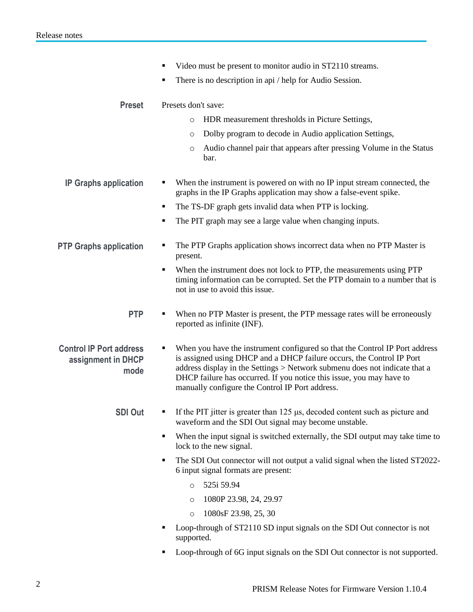- Video must be present to monitor audio in ST2110 streams. There is no description in api / help for Audio Session. **Preset** Presets don't save: o HDR measurement thresholds in Picture Settings, o Dolby program to decode in Audio application Settings, o Audio channel pair that appears after pressing Volume in the Status bar. **IP** Graphs application • When the instrument is powered on with no IP input stream connected, the graphs in the IP Graphs application may show a false-event spike. ■ The TS-DF graph gets invalid data when PTP is locking. The PIT graph may see a large value when changing inputs. **PTP Graphs application ■** The PTP Graphs application shows incorrect data when no PTP Master is present. ■ When the instrument does not lock to PTP, the measurements using PTP timing information can be corrupted. Set the PTP domain to a number that is not in use to avoid this issue. **PTP**  $\bullet$  When no PTP Master is present, the PTP message rates will be erroneously reported as infinite (INF). **Control IP Port address assignment in DHCP mode** When you have the instrument configured so that the Control IP Port address is assigned using DHCP and a DHCP failure occurs, the Control IP Port address display in the Settings > Network submenu does not indicate that a DHCP failure has occurred. If you notice this issue, you may have to manually configure the Control IP Port address. **SDI Out** ▪ If the PIT jitter is greater than 125 μs, decoded content such as picture and waveform and the SDI Out signal may become unstable. ■ When the input signal is switched externally, the SDI output may take time to lock to the new signal. The SDI Out connector will not output a valid signal when the listed ST2022-6 input signal formats are present: o 525i 59.94 o 1080P 23.98, 24, 29.97 o 1080sF 23.98, 25, 30 Loop-through of ST2110 SD input signals on the SDI Out connector is not supported.
	- Loop-through of 6G input signals on the SDI Out connector is not supported.